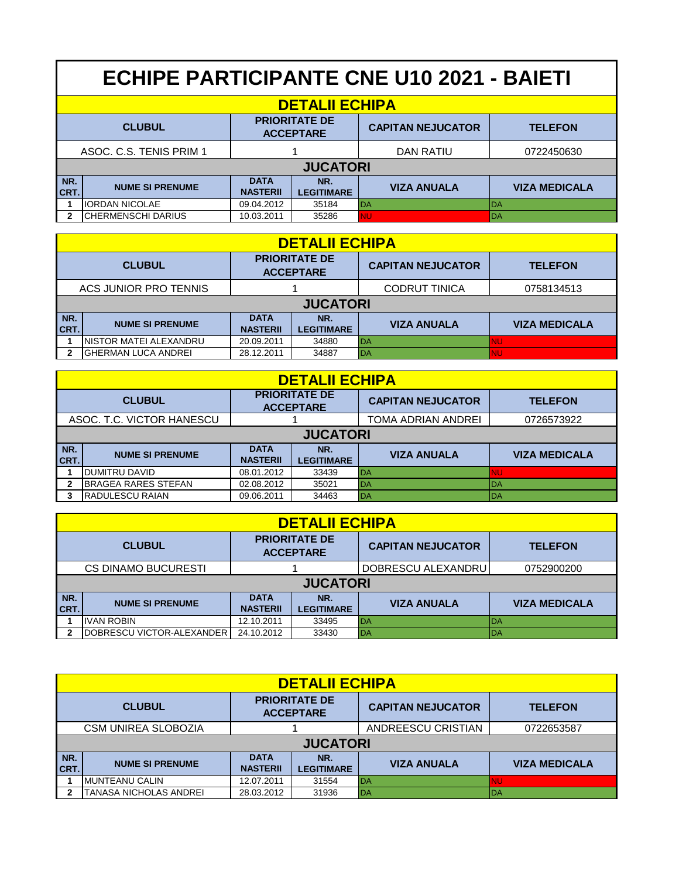|               | <b>ECHIPE PARTICIPANTE CNE U10 2021 - BAIETI</b> |                                          |                          |                          |                      |  |  |  |
|---------------|--------------------------------------------------|------------------------------------------|--------------------------|--------------------------|----------------------|--|--|--|
|               | <b>DETALII ECHIPA</b>                            |                                          |                          |                          |                      |  |  |  |
| <b>CLUBUL</b> |                                                  | <b>PRIORITATE DE</b><br><b>ACCEPTARE</b> |                          | <b>CAPITAN NEJUCATOR</b> | <b>TELEFON</b>       |  |  |  |
|               | ASOC. C.S. TENIS PRIM 1                          |                                          |                          | <b>DAN RATIU</b>         | 0722450630           |  |  |  |
|               | <b>JUCATORI</b>                                  |                                          |                          |                          |                      |  |  |  |
| NR.<br>ICRT.  | <b>NUME SI PRENUME</b>                           | <b>DATA</b><br><b>NASTERII</b>           | NR.<br><b>LEGITIMARE</b> | <b>VIZA ANUALA</b>       | <b>VIZA MEDICALA</b> |  |  |  |
|               | <b>IORDAN NICOLAE</b>                            | 09.04.2012                               | 35184                    | DA                       | l DA                 |  |  |  |
|               | ICHERMENSCHI DARIUS                              | 10.03.2011                               | 35286                    | <b>NU</b>                | DA                   |  |  |  |

|             | <b>DETALII ECHIPA</b>   |                                |                                          |           |                          |                      |  |  |  |  |
|-------------|-------------------------|--------------------------------|------------------------------------------|-----------|--------------------------|----------------------|--|--|--|--|
|             | <b>CLUBUL</b>           |                                | <b>PRIORITATE DE</b><br><b>ACCEPTARE</b> |           | <b>CAPITAN NEJUCATOR</b> | <b>TELEFON</b>       |  |  |  |  |
|             | ACS JUNIOR PRO TENNIS   |                                |                                          |           | <b>CODRUT TINICA</b>     | 0758134513           |  |  |  |  |
|             | <b>JUCATORI</b>         |                                |                                          |           |                          |                      |  |  |  |  |
| NR.<br>CRT. | <b>NUME SI PRENUME</b>  | <b>DATA</b><br><b>NASTERII</b> | NR.<br><b>LEGITIMARE</b>                 |           | <b>VIZA ANUALA</b>       | <b>VIZA MEDICALA</b> |  |  |  |  |
|             | INISTOR MATEI ALEXANDRU | 20.09.2011                     | 34880                                    | <b>DA</b> |                          | <b>NU</b>            |  |  |  |  |
|             | IGHERMAN LUCA ANDREI    | 28.12.2011                     | 34887                                    | DA        |                          | INU                  |  |  |  |  |

|                           | <b>DETALII ECHIPA</b>                                     |                                |                          |                    |                      |  |  |  |  |
|---------------------------|-----------------------------------------------------------|--------------------------------|--------------------------|--------------------|----------------------|--|--|--|--|
|                           | <b>PRIORITATE DE</b><br><b>CLUBUL</b><br><b>ACCEPTARE</b> |                                | <b>CAPITAN NEJUCATOR</b> | <b>TELEFON</b>     |                      |  |  |  |  |
| ASOC. T.C. VICTOR HANESCU |                                                           |                                | TOMA ADRIAN ANDREI       | 0726573922         |                      |  |  |  |  |
|                           | <b>JUCATORI</b>                                           |                                |                          |                    |                      |  |  |  |  |
| NR.<br><b>CRT.</b>        | <b>NUME SI PRENUME</b>                                    | <b>DATA</b><br><b>NASTERII</b> | NR.<br><b>LEGITIMARE</b> | <b>VIZA ANUALA</b> | <b>VIZA MEDICALA</b> |  |  |  |  |
|                           | <b>IDUMITRU DAVID</b>                                     | 08.01.2012                     | 33439                    | DA                 | <b>NU</b>            |  |  |  |  |
| $\mathbf{2}$              | <b>IBRAGEA RARES STEFAN</b>                               | 02.08.2012                     | 35021                    | DA                 | <b>IDA</b>           |  |  |  |  |
|                           | <b>RADULESCU RAIAN</b>                                    | 09.06.2011                     | 34463                    | DA                 | <b>IDA</b>           |  |  |  |  |

|                            | <b>DETALII ECHIPA</b>             |                                |                                          |                          |                      |  |  |  |  |
|----------------------------|-----------------------------------|--------------------------------|------------------------------------------|--------------------------|----------------------|--|--|--|--|
|                            | <b>CLUBUL</b>                     |                                | <b>PRIORITATE DE</b><br><b>ACCEPTARE</b> | <b>CAPITAN NEJUCATOR</b> | <b>TELEFON</b>       |  |  |  |  |
| <b>CS DINAMO BUCURESTI</b> |                                   |                                |                                          | DOBRESCU ALEXANDRU       | 0752900200           |  |  |  |  |
|                            | <b>JUCATORI</b>                   |                                |                                          |                          |                      |  |  |  |  |
| NR.<br><b>CRT.</b>         | <b>NUME SI PRENUME</b>            | <b>DATA</b><br><b>NASTERII</b> | NR.<br><b>LEGITIMARE</b>                 | <b>VIZA ANUALA</b>       | <b>VIZA MEDICALA</b> |  |  |  |  |
|                            | <b>IVAN ROBIN</b>                 | 12.10.2011                     | 33495                                    | <b>IDA</b>               | DA                   |  |  |  |  |
|                            | <b>IDOBRESCU VICTOR-ALEXANDER</b> | 24.10.2012                     | 33430                                    | <b>IDA</b>               | IDA                  |  |  |  |  |

|               | <b>DETALII ECHIPA</b>         |                                          |                          |                          |                      |  |  |  |  |
|---------------|-------------------------------|------------------------------------------|--------------------------|--------------------------|----------------------|--|--|--|--|
| <b>CLUBUL</b> |                               | <b>PRIORITATE DE</b><br><b>ACCEPTARE</b> |                          | <b>CAPITAN NEJUCATOR</b> | <b>TELEFON</b>       |  |  |  |  |
|               | <b>CSM UNIREA SLOBOZIA</b>    |                                          |                          | ANDREESCU CRISTIAN       | 0722653587           |  |  |  |  |
|               | <b>JUCATORI</b>               |                                          |                          |                          |                      |  |  |  |  |
| NR.<br>CRT.   | <b>NUME SI PRENUME</b>        | <b>DATA</b><br><b>NASTERII</b>           | NR.<br><b>LEGITIMARE</b> | <b>VIZA ANUALA</b>       | <b>VIZA MEDICALA</b> |  |  |  |  |
|               | IMUNTEANU CALIN               | 12.07.2011                               | 31554                    | <b>IDA</b>               | <b>NU</b>            |  |  |  |  |
|               | <b>TANASA NICHOLAS ANDREI</b> | 28.03.2012                               | 31936                    | <b>DA</b>                | <b>IDA</b>           |  |  |  |  |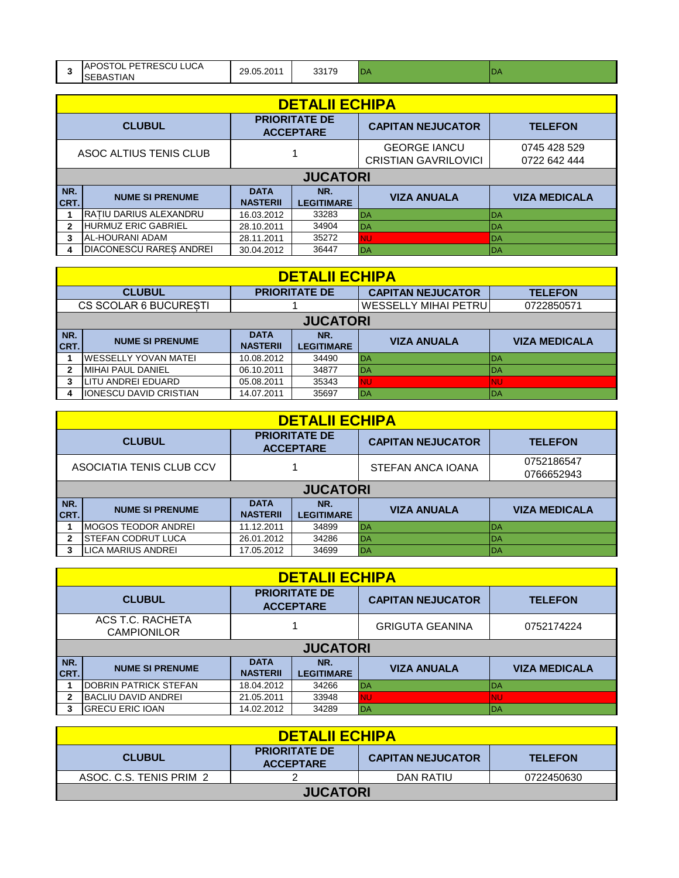|                | <b>DETALII ECHIPA</b>          |                                |                                          |                                                    |                              |  |  |  |  |
|----------------|--------------------------------|--------------------------------|------------------------------------------|----------------------------------------------------|------------------------------|--|--|--|--|
| <b>CLUBUL</b>  |                                |                                | <b>PRIORITATE DE</b><br><b>ACCEPTARE</b> | <b>CAPITAN NEJUCATOR</b>                           | <b>TELEFON</b>               |  |  |  |  |
|                | ASOC ALTIUS TENIS CLUB         |                                |                                          | <b>GEORGE IANCU</b><br><b>CRISTIAN GAVRILOVICI</b> | 0745 428 529<br>0722 642 444 |  |  |  |  |
|                | <b>JUCATORI</b>                |                                |                                          |                                                    |                              |  |  |  |  |
| NR.<br>CRT.    | <b>NUME SI PRENUME</b>         | <b>DATA</b><br><b>NASTERII</b> | NR.<br><b>LEGITIMARE</b>                 | <b>VIZA ANUALA</b>                                 | <b>VIZA MEDICALA</b>         |  |  |  |  |
|                | <b>RATIU DARIUS ALEXANDRU</b>  | 16.03.2012                     | 33283                                    | DA                                                 | DA                           |  |  |  |  |
| $\overline{2}$ | HURMUZ ERIC GABRIEL            | 28.10.2011                     | 34904                                    | DA                                                 | DA                           |  |  |  |  |
| 3              | <b>AL-HOURANI ADAM</b>         | 28.11.2011                     | 35272                                    | <b>NU</b>                                          | DA                           |  |  |  |  |
| 4              | <b>DIACONESCU RARES ANDREI</b> | 30.04.2012                     | 36447                                    | DA                                                 | DA                           |  |  |  |  |

|                       | <b>DETALII ECHIPA</b>          |                                |                             |                          |                      |  |  |  |  |
|-----------------------|--------------------------------|--------------------------------|-----------------------------|--------------------------|----------------------|--|--|--|--|
| <b>CLUBUL</b>         |                                | <b>PRIORITATE DE</b>           |                             | <b>CAPITAN NEJUCATOR</b> | <b>TELEFON</b>       |  |  |  |  |
| CS SCOLAR 6 BUCURESTI |                                |                                | <b>WESSELLY MIHAI PETRU</b> | 0722850571               |                      |  |  |  |  |
|                       | <b>JUCATORI</b>                |                                |                             |                          |                      |  |  |  |  |
| NR.<br>CRT.           | <b>NUME SI PRENUME</b>         | <b>DATA</b><br><b>NASTERII</b> | NR.<br><b>LEGITIMARE</b>    | <b>VIZA ANUALA</b>       | <b>VIZA MEDICALA</b> |  |  |  |  |
|                       | IWESSELLY YOVAN MATEI          | 10.08.2012                     | 34490                       | <b>DA</b>                | <b>DA</b>            |  |  |  |  |
|                       | <b>MIHAI PAUL DANIEL</b>       | 06.10.2011                     | 34877                       | <b>DA</b>                | <b>IDA</b>           |  |  |  |  |
|                       | ILITU ANDREI EDUARD            | 05.08.2011                     | 35343                       | <b>NU</b>                | <b>NU</b>            |  |  |  |  |
|                       | <b>IIONESCU DAVID CRISTIAN</b> | 14.07.2011                     | 35697                       | <b>DA</b>                | <b>IDA</b>           |  |  |  |  |

|             | <b>DETALII ECHIPA</b>     |                                |                                          |                          |                      |  |  |  |  |
|-------------|---------------------------|--------------------------------|------------------------------------------|--------------------------|----------------------|--|--|--|--|
|             | <b>CLUBUL</b>             |                                | <b>PRIORITATE DE</b><br><b>ACCEPTARE</b> | <b>CAPITAN NEJUCATOR</b> | <b>TELEFON</b>       |  |  |  |  |
|             | ASOCIATIA TENIS CLUB CCV  |                                | STEFAN ANCA IOANA                        | 0752186547<br>0766652943 |                      |  |  |  |  |
|             | <b>JUCATORI</b>           |                                |                                          |                          |                      |  |  |  |  |
| NR.<br>CRT. | <b>NUME SI PRENUME</b>    | <b>DATA</b><br><b>NASTERII</b> | NR.<br><b>LEGITIMARE</b>                 | <b>VIZA ANUALA</b>       | <b>VIZA MEDICALA</b> |  |  |  |  |
|             | IMOGOS TEODOR ANDREI      | 11.12.2011                     | 34899                                    | <b>DA</b>                | l DA                 |  |  |  |  |
| 2           | ISTEFAN CODRUT LUCA       | 26.01.2012                     | 34286                                    | DA                       | <b>DA</b>            |  |  |  |  |
|             | <b>LICA MARIUS ANDREI</b> | 17.05.2012                     | 34699                                    | <b>DA</b>                | <b>IDA</b>           |  |  |  |  |

|               | <b>DETALII ECHIPA</b>                  |                                          |                          |           |                          |                      |  |  |  |
|---------------|----------------------------------------|------------------------------------------|--------------------------|-----------|--------------------------|----------------------|--|--|--|
| <b>CLUBUL</b> |                                        | <b>PRIORITATE DE</b><br><b>ACCEPTARE</b> |                          |           | <b>CAPITAN NEJUCATOR</b> | <b>TELEFON</b>       |  |  |  |
|               | ACS T.C. RACHETA<br><b>CAMPIONILOR</b> |                                          |                          |           | <b>GRIGUTA GEANINA</b>   | 0752174224           |  |  |  |
|               | <b>JUCATORI</b>                        |                                          |                          |           |                          |                      |  |  |  |
| NR.<br>CRT.   | <b>NUME SI PRENUME</b>                 | <b>DATA</b><br><b>NASTERII</b>           | NR.<br><b>LEGITIMARE</b> |           | <b>VIZA ANUALA</b>       | <b>VIZA MEDICALA</b> |  |  |  |
|               | <b>IDOBRIN PATRICK STEFAN</b>          | 18.04.2012                               | 34266                    | DA        |                          | <b>IDA</b>           |  |  |  |
|               | <b>BACLIU DAVID ANDREI</b>             | 21.05.2011                               | 33948                    | <b>NU</b> |                          | <b>NU</b>            |  |  |  |
|               | <b>IGRECU ERIC IOAN</b>                | 14.02.2012                               | 34289                    | DA        |                          | <b>IDA</b>           |  |  |  |

| <b>DETALII ECHIPA</b>   |                                          |                          |                |  |  |  |
|-------------------------|------------------------------------------|--------------------------|----------------|--|--|--|
| <b>CLUBUL</b>           | <b>PRIORITATE DE</b><br><b>ACCEPTARE</b> | <b>CAPITAN NEJUCATOR</b> | <b>TELEFON</b> |  |  |  |
| ASOC, C.S. TENIS PRIM 2 |                                          | DAN RATIU                | 0722450630     |  |  |  |
| <b>JUCATORI</b>         |                                          |                          |                |  |  |  |